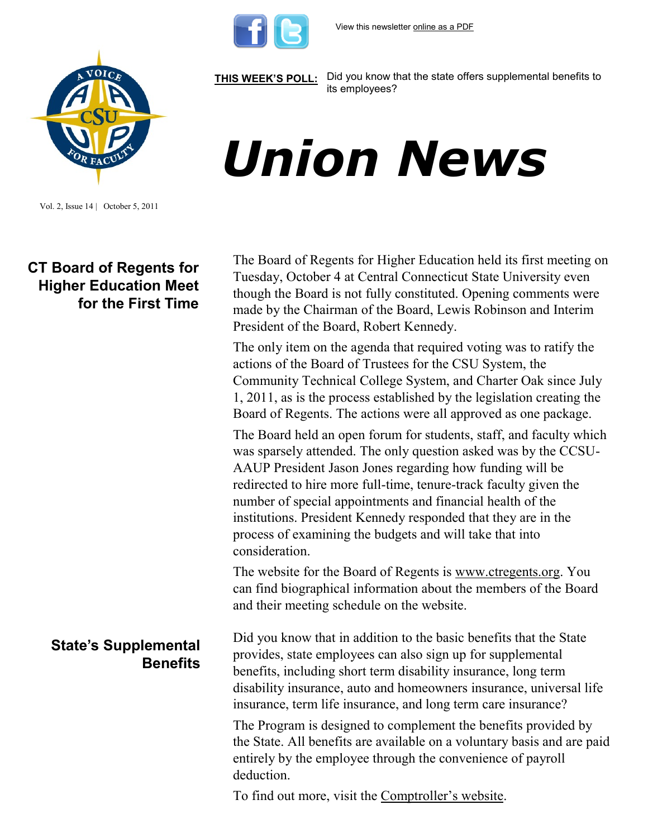

**[THIS WEEK'S POLL:](http://www.csuaaup.org/)** Did you know that the state offers supplemental benefits to its employees?

# *Union News*

Vol. 2, Issue 14 | October 5, 2011

# **CT Board of Regents for Higher Education Meet for the First Time**

# **State's Supplemental Benefits**

The Board of Regents for Higher Education held its first meeting on Tuesday, October 4 at Central Connecticut State University even though the Board is not fully constituted. Opening comments were made by the Chairman of the Board, Lewis Robinson and Interim President of the Board, Robert Kennedy.

The only item on the agenda that required voting was to ratify the actions of the Board of Trustees for the CSU System, the Community Technical College System, and Charter Oak since July 1, 2011, as is the process established by the legislation creating the Board of Regents. The actions were all approved as one package.

The Board held an open forum for students, staff, and faculty which was sparsely attended. The only question asked was by the CCSU-AAUP President Jason Jones regarding how funding will be redirected to hire more full-time, tenure-track faculty given the number of special appointments and financial health of the institutions. President Kennedy responded that they are in the process of examining the budgets and will take that into consideration.

The website for the Board of Regents is [www.ctregents.org.](http://www.ctregents.org/) You can find biographical information about the members of the Board and their meeting schedule on the website.

Did you know that in addition to the basic benefits that the State provides, state employees can also sign up for supplemental benefits, including short term disability insurance, long term disability insurance, auto and homeowners insurance, universal life insurance, term life insurance, and long term care insurance?

The Program is designed to complement the benefits provided by the State. All benefits are available on a voluntary basis and are paid entirely by the employee through the convenience of payroll deduction.

To find out more, visit the [Comptroller's website](http://www.osc.ct.gov/empret/supplemental/suppben041411.pdf).